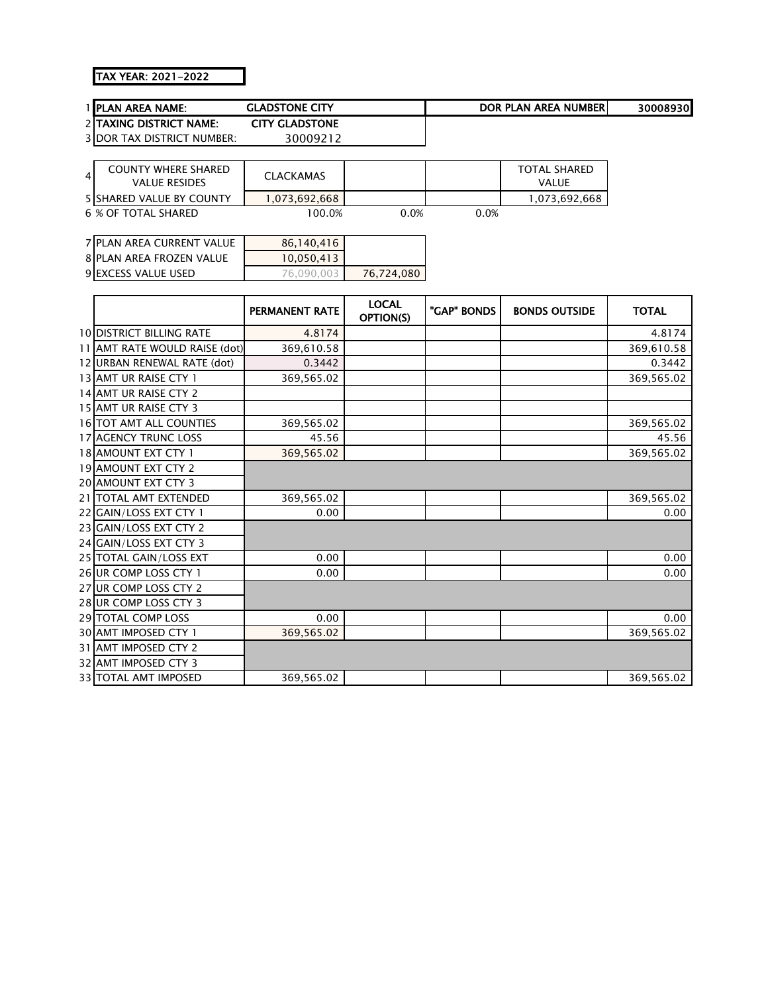## TAX YEAR: 2021-2022

|   | PLAN AREA NAME:                  | <b>GLADSTONE CITY</b> |                           |             | <b>DOR PLAN AREA NUMBER</b> | 30008930     |
|---|----------------------------------|-----------------------|---------------------------|-------------|-----------------------------|--------------|
|   | 2 TAXING DISTRICT NAME:          | <b>CITY GLADSTONE</b> |                           |             |                             |              |
|   | 3 DOR TAX DISTRICT NUMBER:       | 30009212              |                           |             |                             |              |
|   |                                  |                       |                           |             |                             |              |
| 4 | <b>COUNTY WHERE SHARED</b>       | <b>CLACKAMAS</b>      |                           |             | <b>TOTAL SHARED</b>         |              |
|   | <b>VALUE RESIDES</b>             |                       |                           |             | VALUE                       |              |
|   | <b>5 SHARED VALUE BY COUNTY</b>  | 1,073,692,668         |                           |             | 1,073,692,668               |              |
|   | <b>6 % OF TOTAL SHARED</b>       | 100.0%                | 0.0%                      | 0.0%        |                             |              |
|   |                                  |                       |                           |             |                             |              |
|   | <b>7 PLAN AREA CURRENT VALUE</b> | 86,140,416            |                           |             |                             |              |
|   | <b>8 PLAN AREA FROZEN VALUE</b>  | 10,050,413            |                           |             |                             |              |
|   | 9 EXCESS VALUE USED              | 76,090,003            | 76,724,080                |             |                             |              |
|   |                                  |                       |                           |             |                             |              |
|   |                                  | <b>PERMANENT RATE</b> | <b>LOCAL</b><br>OPTION(S) | "GAP" BONDS | <b>BONDS OUTSIDE</b>        | <b>TOTAL</b> |
|   | <b>10 DISTRICT BILLING RATE</b>  | 4.8174                |                           |             |                             | 4.8174       |
|   | 11 AMT RATE WOULD RAISE (dot)    | 369,610.58            |                           |             |                             | 369,610.58   |
|   | 12 URBAN RENEWAL RATE (dot)      | 0.3442                |                           |             |                             | 0.3442       |
|   | 13 AMT UR RAISE CTY 1            | 369,565.02            |                           |             |                             | 369,565.02   |
|   | 14 AMT UR RAISE CTY 2            |                       |                           |             |                             |              |
|   | 15 AMT UR RAISE CTY 3            |                       |                           |             |                             |              |
|   | 16 TOT AMT ALL COUNTIES          | 369,565.02            |                           |             |                             | 369,565.02   |
|   | 17 AGENCY TRUNC LOSS             | 45.56                 |                           |             |                             | 45.56        |
|   | 18 AMOUNT EXT CTY 1              | 369,565.02            |                           |             |                             | 369,565.02   |
|   | 19 AMOUNT EXT CTY 2              |                       |                           |             |                             |              |
|   | 20 AMOUNT EXT CTY 3              |                       |                           |             |                             |              |
|   | 21 TOTAL AMT EXTENDED            | 369,565.02            |                           |             |                             | 369,565.02   |
|   | 22 GAIN/LOSS EXT CTY 1           | 0.00                  |                           |             |                             | 0.00         |
|   | 23 GAIN/LOSS EXT CTY 2           |                       |                           |             |                             |              |
|   | 24 GAIN/LOSS EXT CTY 3           |                       |                           |             |                             |              |
|   | 25 TOTAL GAIN/LOSS EXT           | 0.00                  |                           |             |                             | 0.00         |
|   | 26 UR COMP LOSS CTY 1            | 0.00                  |                           |             |                             | 0.00         |
|   | 27 UR COMP LOSS CTY 2            |                       |                           |             |                             |              |
|   | 28 UR COMP LOSS CTY 3            |                       |                           |             |                             |              |
|   | 29 TOTAL COMP LOSS               | 0.00                  |                           |             |                             | 0.00         |
|   | 30 AMT IMPOSED CTY 1             | 369,565.02            |                           |             |                             | 369,565.02   |
|   | 31 AMT IMPOSED CTY 2             |                       |                           |             |                             |              |
|   | 32 AMT IMPOSED CTY 3             |                       |                           |             |                             |              |
|   | <b>33 TOTAL AMT IMPOSED</b>      | 369,565.02            |                           |             |                             | 369,565.02   |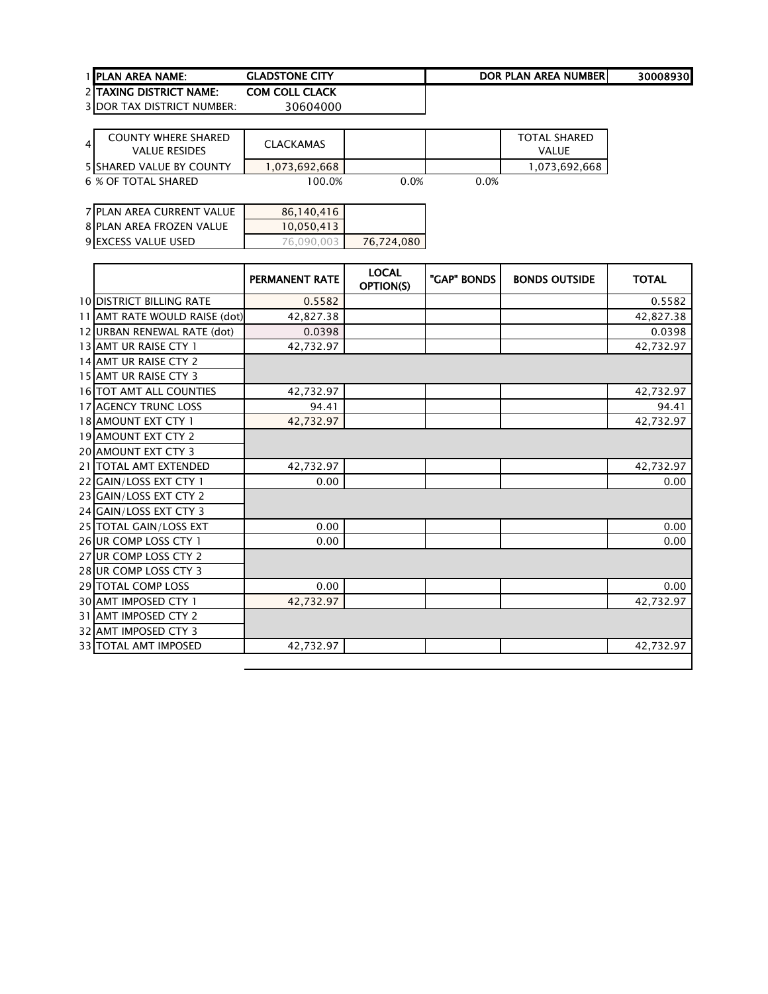| <b>1 IPLAN AREA NAME:</b>       | <b>GLADSTONE CITY</b> | DOR PLAN AREA NUMBERI | 30008930 |
|---------------------------------|-----------------------|-----------------------|----------|
| <b>2 ITAXING DISTRICT NAME:</b> | <b>COM COLL CLACK</b> |                       |          |

| 4 | COUNTY WHERE SHARED<br><b>VALUE RESIDES</b> | <b>CLACKAMAS</b> |      |         | <b>TOTAL SHARED</b><br>VALUE |
|---|---------------------------------------------|------------------|------|---------|------------------------------|
|   | <b>5ISHARED VALUE BY COUNTY</b>             | 1.073.692.668    |      |         | 1,073,692,668                |
|   | 6 % OF TOTAL SHARED                         | 100.0%           | 0.0% | $0.0\%$ |                              |

| 7 PLAN AREA CURRENT VALUE       | 86.140.416 |            |
|---------------------------------|------------|------------|
| <b>8 PLAN AREA FROZEN VALUE</b> | 10.050.413 |            |
| 9 EXCESS VALUE USED             | 76.090.003 | 76,724,080 |

|                                 | <b>PERMANENT RATE</b> | <b>LOCAL</b><br>OPTION(S) | "GAP" BONDS | <b>BONDS OUTSIDE</b> | <b>TOTAL</b> |
|---------------------------------|-----------------------|---------------------------|-------------|----------------------|--------------|
| <b>10 DISTRICT BILLING RATE</b> | 0.5582                |                           |             |                      | 0.5582       |
| 11 AMT RATE WOULD RAISE (dot)   | 42,827.38             |                           |             |                      | 42,827.38    |
| 12 URBAN RENEWAL RATE (dot)     | 0.0398                |                           |             |                      | 0.0398       |
| 13 AMT UR RAISE CTY 1           | 42,732.97             |                           |             |                      | 42,732.97    |
| 14 AMT UR RAISE CTY 2           |                       |                           |             |                      |              |
| 15 AMT UR RAISE CTY 3           |                       |                           |             |                      |              |
| 16 TOT AMT ALL COUNTIES         | 42,732.97             |                           |             |                      | 42,732.97    |
| <b>17 AGENCY TRUNC LOSS</b>     | 94.41                 |                           |             |                      | 94.41        |
| 18 AMOUNT EXT CTY 1             | 42,732.97             |                           |             |                      | 42,732.97    |
| 19 AMOUNT EXT CTY 2             |                       |                           |             |                      |              |
| <b>20 AMOUNT EXT CTY 3</b>      |                       |                           |             |                      |              |
| 21   TOTAL AMT EXTENDED         | 42.732.97             |                           |             |                      | 42,732.97    |
| 22 GAIN/LOSS EXT CTY 1          | 0.00                  |                           |             |                      | 0.00         |
| 23 GAIN/LOSS EXT CTY 2          |                       |                           |             |                      |              |
| 24 GAIN/LOSS EXT CTY 3          |                       |                           |             |                      |              |
| 25 TOTAL GAIN/LOSS EXT          | 0.00                  |                           |             |                      | 0.00         |
| 26 UR COMP LOSS CTY 1           | 0.00                  |                           |             |                      | 0.00         |
| 27 UR COMP LOSS CTY 2           |                       |                           |             |                      |              |
| 28 UR COMP LOSS CTY 3           |                       |                           |             |                      |              |
| 29 TOTAL COMP LOSS              | 0.00                  |                           |             |                      | 0.00         |
| <b>30 AMT IMPOSED CTY 1</b>     | 42,732.97             |                           |             |                      | 42,732.97    |
| 31 AMT IMPOSED CTY 2            |                       |                           |             |                      |              |
| 32 AMT IMPOSED CTY 3            |                       |                           |             |                      |              |
| <b>33 TOTAL AMT IMPOSED</b>     | 42,732.97             |                           |             |                      | 42,732.97    |
|                                 |                       |                           |             |                      |              |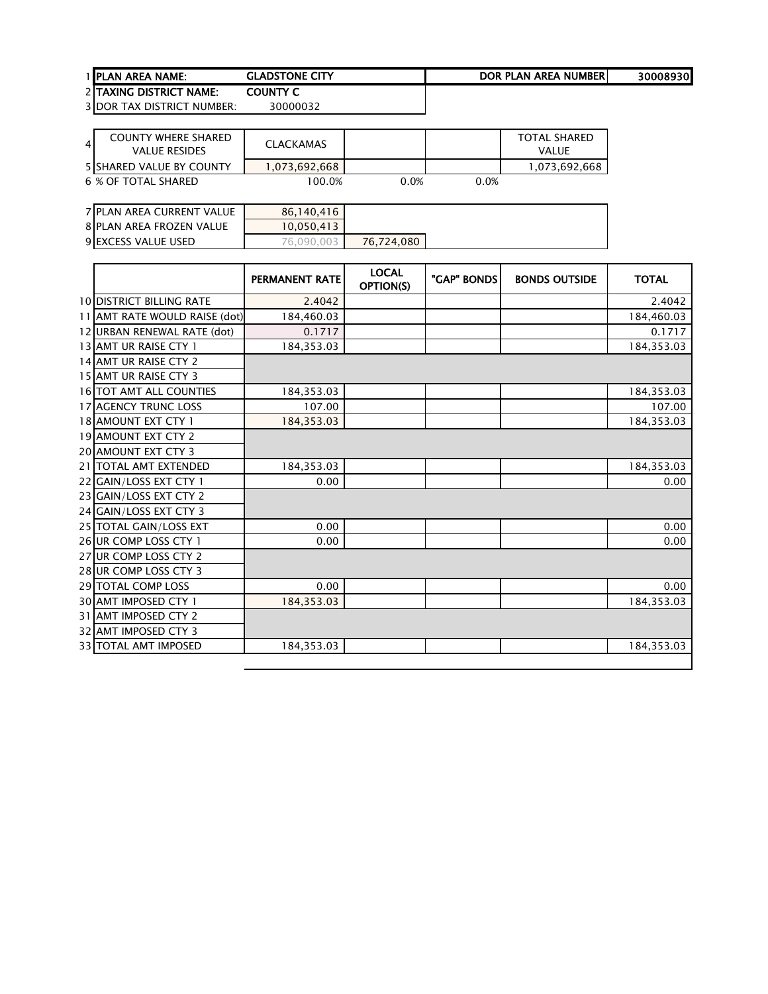## 1 <u>PLAN AREA NAME:</u> GLADSTONE CITY **DOR PLAN AREA NUMBER** 30008930

 TAXING DISTRICT NAME: COUNTY C DOR TAX DISTRICT NUMBER: 30000032

| $\overline{4}$ | COUNTY WHERE SHARED<br>VALUE RESIDES | CLACKAMAS     |      |         | <b>TOTAL SHARED</b><br><b>VALUE</b> |
|----------------|--------------------------------------|---------------|------|---------|-------------------------------------|
|                | 5 SHARED VALUE BY COUNTY             | 1.073.692.668 |      |         | 1,073,692,668                       |
|                | 6 % OF TOTAL SHARED                  | 100.0%        | 0.0% | $0.0\%$ |                                     |

| 7 PLAN AREA CURRENT VALUE | 86,140,416 |            |
|---------------------------|------------|------------|
| 8 PLAN AREA FROZEN VALUE  | 10,050,413 |            |
| 9 EXCESS VALUE USED       | 76.090.003 | 76.724.080 |

|                                 | <b>PERMANENT RATE</b> | <b>LOCAL</b><br>OPTION(S) | "GAP" BONDS | <b>BONDS OUTSIDE</b> | <b>TOTAL</b> |
|---------------------------------|-----------------------|---------------------------|-------------|----------------------|--------------|
| <b>10 DISTRICT BILLING RATE</b> | 2.4042                |                           |             |                      | 2.4042       |
| 11 AMT RATE WOULD RAISE (dot)   | 184,460.03            |                           |             |                      | 184,460.03   |
| 12 URBAN RENEWAL RATE (dot)     | 0.1717                |                           |             |                      | 0.1717       |
| 13 AMT UR RAISE CTY 1           | 184,353.03            |                           |             |                      | 184,353.03   |
| 14 AMT UR RAISE CTY 2           |                       |                           |             |                      |              |
| 15 AMT UR RAISE CTY 3           |                       |                           |             |                      |              |
| <b>16 TOT AMT ALL COUNTIES</b>  | 184,353.03            |                           |             |                      | 184,353.03   |
| <b>17 AGENCY TRUNC LOSS</b>     | 107.00                |                           |             |                      | 107.00       |
| 18 AMOUNT EXT CTY 1             | 184,353.03            |                           |             |                      | 184,353.03   |
| 19 AMOUNT EXT CTY 2             |                       |                           |             |                      |              |
| <b>20 AMOUNT EXT CTY 3</b>      |                       |                           |             |                      |              |
| 21   TOTAL AMT EXTENDED         | 184,353.03            |                           |             |                      | 184,353.03   |
| 22 GAIN/LOSS EXT CTY 1          | 0.00                  |                           |             |                      | 0.00         |
| 23 GAIN/LOSS EXT CTY 2          |                       |                           |             |                      |              |
| 24 GAIN/LOSS EXT CTY 3          |                       |                           |             |                      |              |
| 25 TOTAL GAIN/LOSS EXT          | 0.00                  |                           |             |                      | 0.00         |
| 26 UR COMP LOSS CTY 1           | 0.00                  |                           |             |                      | 0.00         |
| 27 UR COMP LOSS CTY 2           |                       |                           |             |                      |              |
| 28 UR COMP LOSS CTY 3           |                       |                           |             |                      |              |
| 29 TOTAL COMP LOSS              | 0.00                  |                           |             |                      | 0.00         |
| 30 AMT IMPOSED CTY 1            | 184,353.03            |                           |             |                      | 184,353.03   |
| 31 AMT IMPOSED CTY 2            |                       |                           |             |                      |              |
| 32 AMT IMPOSED CTY 3            |                       |                           |             |                      |              |
| 33 TOTAL AMT IMPOSED            | 184,353.03            |                           |             |                      | 184,353.03   |
|                                 |                       |                           |             |                      |              |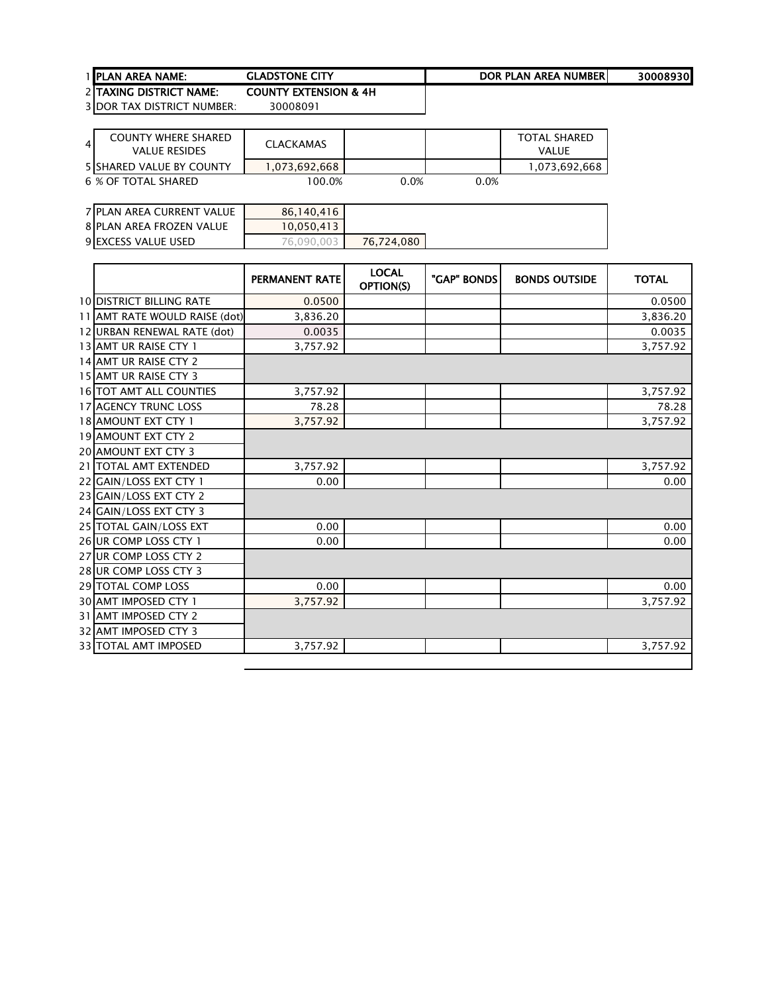TAXING DISTRICT NAME: COUNTY EXTENSION & 4H DOR TAX DISTRICT NUMBER: 30008091

4 COUNTY WHERE SHARED<br>VALUE RESIDES VALUE RESIDES CLACKAMAS TOTAL SHARED VALUE 5 SHARED VALUE BY COUNTY **1,073,692,668** 100.0% 1,073,692,668 100.0% 1,073,692,668 **6 % OF TOTAL SHARED** 

| 7 PLAN AREA CURRENT VALUE  | 86,140,416 |            |
|----------------------------|------------|------------|
| 8 PLAN AREA FROZEN VALUE   | 10.050.413 |            |
| <b>9 EXCESS VALUE USED</b> | 76,090,003 | 76.724.080 |

|                                 | <b>PERMANENT RATE</b> | <b>LOCAL</b><br>OPTION(S) | "GAP" BONDS | <b>BONDS OUTSIDE</b> | <b>TOTAL</b> |
|---------------------------------|-----------------------|---------------------------|-------------|----------------------|--------------|
| <b>10 DISTRICT BILLING RATE</b> | 0.0500                |                           |             |                      | 0.0500       |
| 11 AMT RATE WOULD RAISE (dot)   | 3,836.20              |                           |             |                      | 3,836.20     |
| 12 URBAN RENEWAL RATE (dot)     | 0.0035                |                           |             |                      | 0.0035       |
| 13 AMT UR RAISE CTY 1           | 3,757.92              |                           |             |                      | 3,757.92     |
| 14 AMT UR RAISE CTY 2           |                       |                           |             |                      |              |
| 15 AMT UR RAISE CTY 3           |                       |                           |             |                      |              |
| <b>16 TOT AMT ALL COUNTIES</b>  | 3,757.92              |                           |             |                      | 3,757.92     |
| 17 AGENCY TRUNC LOSS            | 78.28                 |                           |             |                      | 78.28        |
| 18 AMOUNT EXT CTY 1             | 3,757.92              |                           |             |                      | 3,757.92     |
| 19 AMOUNT EXT CTY 2             |                       |                           |             |                      |              |
| <b>20 AMOUNT EXT CTY 3</b>      |                       |                           |             |                      |              |
| 21   TOTAL AMT EXTENDED         | 3.757.92              |                           |             |                      | 3,757.92     |
| 22 GAIN/LOSS EXT CTY 1          | 0.00                  |                           |             |                      | 0.00         |
| 23 GAIN/LOSS EXT CTY 2          |                       |                           |             |                      |              |
| 24 GAIN/LOSS EXT CTY 3          |                       |                           |             |                      |              |
| 25 TOTAL GAIN/LOSS EXT          | 0.00                  |                           |             |                      | 0.00         |
| 26 UR COMP LOSS CTY 1           | 0.00                  |                           |             |                      | 0.00         |
| 27 UR COMP LOSS CTY 2           |                       |                           |             |                      |              |
| 28 UR COMP LOSS CTY 3           |                       |                           |             |                      |              |
| 29 TOTAL COMP LOSS              | 0.00                  |                           |             |                      | 0.00         |
| 30 AMT IMPOSED CTY 1            | 3,757.92              |                           |             |                      | 3,757.92     |
| 31 AMT IMPOSED CTY 2            |                       |                           |             |                      |              |
| 32 AMT IMPOSED CTY 3            |                       |                           |             |                      |              |
| 33 TOTAL AMT IMPOSED            | 3,757.92              |                           |             |                      | 3,757.92     |
|                                 |                       |                           |             |                      |              |

## 1 <u>PLAN AREA NAME:</u> GLADSTONE CITY **DOR PLAN AREA NUMBER** 30008930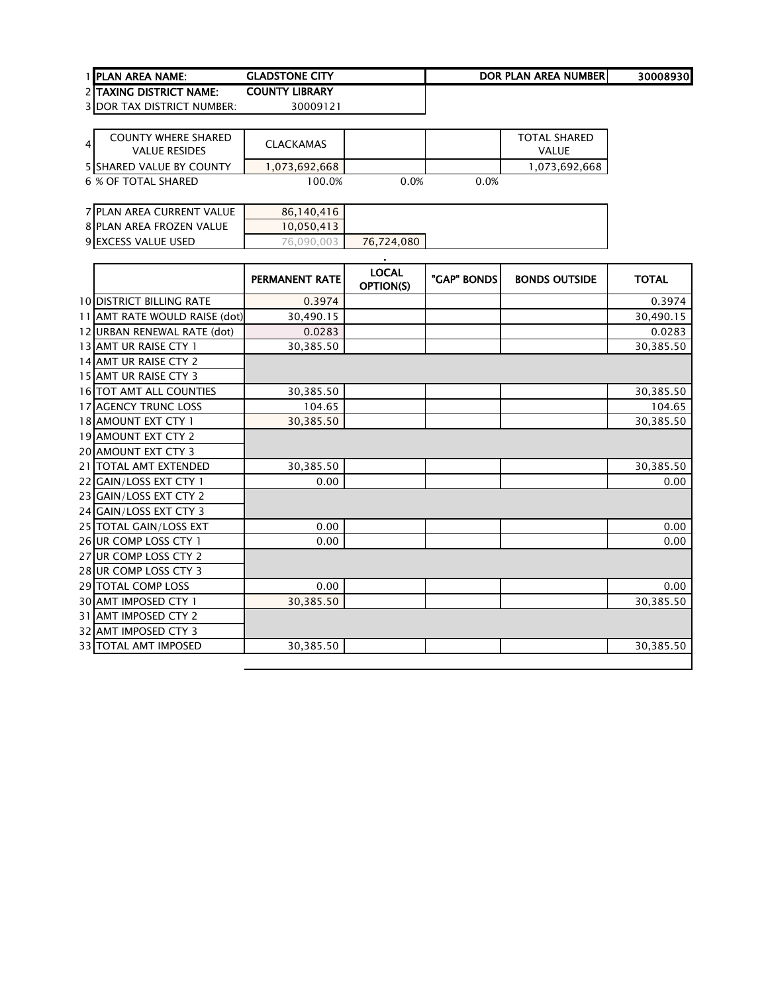| <b>1 IPLAN AREA NAME:</b>       | <b>GLADSTONE CITY</b> | DOR PLAN AREA NUMBERI | 30008930 |
|---------------------------------|-----------------------|-----------------------|----------|
| <b>2 ITAXING DISTRICT NAME:</b> | <b>COUNTY LIBRARY</b> |                       |          |
| $20000$ TAV DICTRICT LUILIDER   | 20000121              |                       |          |

| 4 | COUNTY WHERE SHARED<br>VALUE RESIDES | CLACKAMAS     |         |      | TOTAL SHARED<br>VALUE |
|---|--------------------------------------|---------------|---------|------|-----------------------|
|   | 5 SHARED VALUE BY COUNTY             | 1.073.692.668 |         |      | 1,073,692,668         |
|   | 6 % OF TOTAL SHARED                  | 100.0%        | $0.0\%$ | 0.0% |                       |

| 7 PLAN AREA CURRENT VALUE  | 86,140,416 |            |
|----------------------------|------------|------------|
| 8 PLAN AREA FROZEN VALUE   | 10,050,413 |            |
| <b>9 EXCESS VALUE USED</b> | 76,090,003 | 76.724.080 |

|                                  | <b>PERMANENT RATE</b> | <b>LOCAL</b><br>OPTION(S) | "GAP" BONDS | <b>BONDS OUTSIDE</b> | <b>TOTAL</b> |
|----------------------------------|-----------------------|---------------------------|-------------|----------------------|--------------|
| <b>10 DISTRICT BILLING RATE</b>  | 0.3974                |                           |             |                      | 0.3974       |
| 11 AMT RATE WOULD RAISE (dot)    | 30,490.15             |                           |             |                      | 30,490.15    |
| 12 URBAN RENEWAL RATE (dot)      | 0.0283                |                           |             |                      | 0.0283       |
| 13 AMT UR RAISE CTY 1            | 30,385.50             |                           |             |                      | 30,385.50    |
| 14 AMT UR RAISE CTY 2            |                       |                           |             |                      |              |
| 15 AMT UR RAISE CTY 3            |                       |                           |             |                      |              |
| 16 TOT AMT ALL COUNTIES          | 30,385.50             |                           |             |                      | 30,385.50    |
| 17 AGENCY TRUNC LOSS             | 104.65                |                           |             |                      | 104.65       |
| 18 AMOUNT EXT CTY 1              | 30,385.50             |                           |             |                      | 30,385.50    |
| 19 AMOUNT EXT CTY 2              |                       |                           |             |                      |              |
| 20 AMOUNT EXT CTY 3              |                       |                           |             |                      |              |
| <b>TOTAL AMT EXTENDED</b><br>211 | 30,385.50             |                           |             |                      | 30,385.50    |
| 22 GAIN/LOSS EXT CTY 1           | 0.00                  |                           |             |                      | 0.00         |
| 23 GAIN/LOSS EXT CTY 2           |                       |                           |             |                      |              |
| 24 GAIN/LOSS EXT CTY 3           |                       |                           |             |                      |              |
| 25 TOTAL GAIN/LOSS EXT           | 0.00                  |                           |             |                      | 0.00         |
| 26 UR COMP LOSS CTY 1            | 0.00                  |                           |             |                      | 0.00         |
| 27 UR COMP LOSS CTY 2            |                       |                           |             |                      |              |
| 28 UR COMP LOSS CTY 3            |                       |                           |             |                      |              |
| <b>29 TOTAL COMP LOSS</b>        | 0.00                  |                           |             |                      | 0.00         |
| <b>30 AMT IMPOSED CTY 1</b>      | 30,385.50             |                           |             |                      | 30,385.50    |
| 31 AMT IMPOSED CTY 2             |                       |                           |             |                      |              |
| 32 AMT IMPOSED CTY 3             |                       |                           |             |                      |              |
| 33 TOTAL AMT IMPOSED             | 30,385.50             |                           |             |                      | 30,385.50    |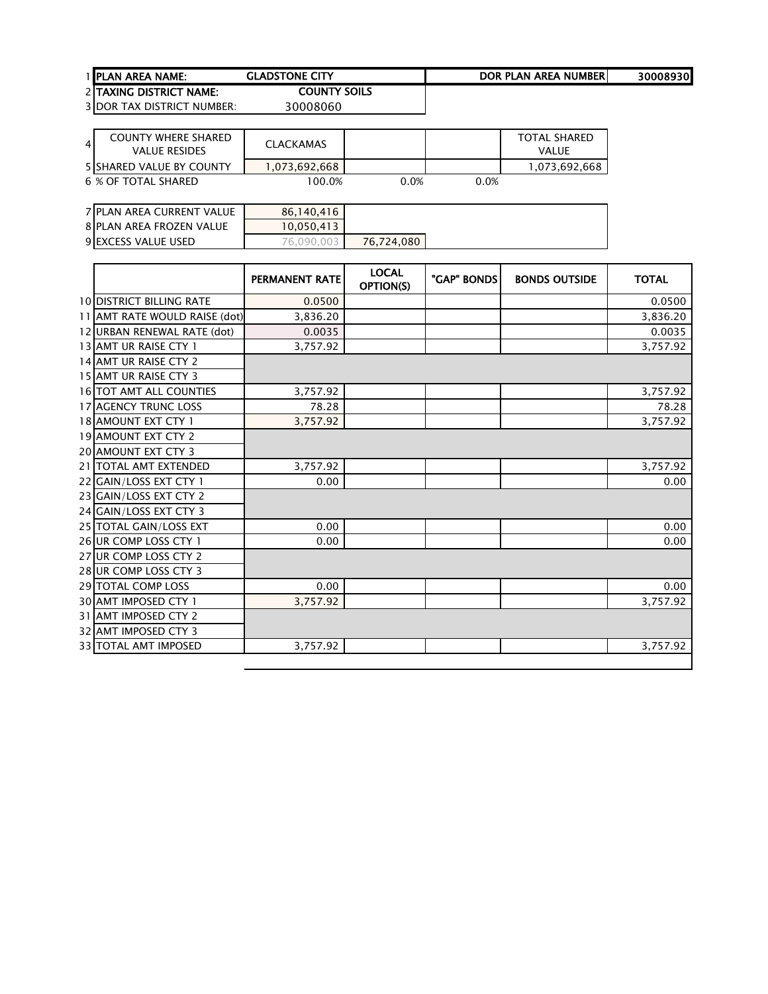| <b>1 IPLAN AREA NAME:</b> | <b>GLADSTONE CITY</b> | DOR PLAN AREA NUMBERI | 30008930 |
|---------------------------|-----------------------|-----------------------|----------|
| 2 ITAXING DISTRICT NAME:  | <b>COUNTY SOILS</b>   |                       |          |

 TAXING DISTRICT NAME: 3 DOR TAX DISTRICT NUMBER: 30008060

4 COUNTY WHERE SHARED<br>VALUE RESIDES VALUE RESIDES CLACKAMAS TOTAL SHARED VALUE 5 SHARED VALUE BY COUNTY **1,073,692,668** 100.0% 1,073,692,668 100.0% 1,073,692,668 **6 % OF TOTAL SHARED** 

| 7 PLAN AREA CURRENT VALUE  | 86,140,416 |            |
|----------------------------|------------|------------|
| 8 PLAN AREA FROZEN VALUE   | 10.050.413 |            |
| <b>9 EXCESS VALUE USED</b> | 76.090.003 | 76,724,080 |

|                                 | <b>PERMANENT RATE</b> | <b>LOCAL</b><br>OPTION(S) | "GAP" BONDS | <b>BONDS OUTSIDE</b> | <b>TOTAL</b> |
|---------------------------------|-----------------------|---------------------------|-------------|----------------------|--------------|
| <b>10 DISTRICT BILLING RATE</b> | 0.0500                |                           |             |                      | 0.0500       |
| 11 AMT RATE WOULD RAISE (dot)   | 3,836.20              |                           |             |                      | 3,836.20     |
| 12 URBAN RENEWAL RATE (dot)     | 0.0035                |                           |             |                      | 0.0035       |
| 13 AMT UR RAISE CTY 1           | 3,757.92              |                           |             |                      | 3,757.92     |
| 14 AMT UR RAISE CTY 2           |                       |                           |             |                      |              |
| 15 AMT UR RAISE CTY 3           |                       |                           |             |                      |              |
| <b>16 TOT AMT ALL COUNTIES</b>  | 3,757.92              |                           |             |                      | 3,757.92     |
| <b>17 AGENCY TRUNC LOSS</b>     | 78.28                 |                           |             |                      | 78.28        |
| 18 AMOUNT EXT CTY 1             | 3,757.92              |                           |             |                      | 3,757.92     |
| <b>19 AMOUNT EXT CTY 2</b>      |                       |                           |             |                      |              |
| <b>20 AMOUNT EXT CTY 3</b>      |                       |                           |             |                      |              |
| 21   TOTAL AMT EXTENDED         | 3.757.92              |                           |             |                      | 3,757.92     |
| 22 GAIN/LOSS EXT CTY 1          | 0.00                  |                           |             |                      | 0.00         |
| 23 GAIN/LOSS EXT CTY 2          |                       |                           |             |                      |              |
| 24 GAIN/LOSS EXT CTY 3          |                       |                           |             |                      |              |
| 25 TOTAL GAIN/LOSS EXT          | 0.00                  |                           |             |                      | 0.00         |
| 26 UR COMP LOSS CTY 1           | 0.00                  |                           |             |                      | 0.00         |
| 27 UR COMP LOSS CTY 2           |                       |                           |             |                      |              |
| 28 UR COMP LOSS CTY 3           |                       |                           |             |                      |              |
| 29 TOTAL COMP LOSS              | 0.00                  |                           |             |                      | 0.00         |
| 30 AMT IMPOSED CTY 1            | 3,757.92              |                           |             |                      | 3,757.92     |
| 31 AMT IMPOSED CTY 2            |                       |                           |             |                      |              |
| 32 AMT IMPOSED CTY 3            |                       |                           |             |                      |              |
| 33 TOTAL AMT IMPOSED            | 3,757.92              |                           |             |                      | 3,757.92     |
|                                 |                       |                           |             |                      |              |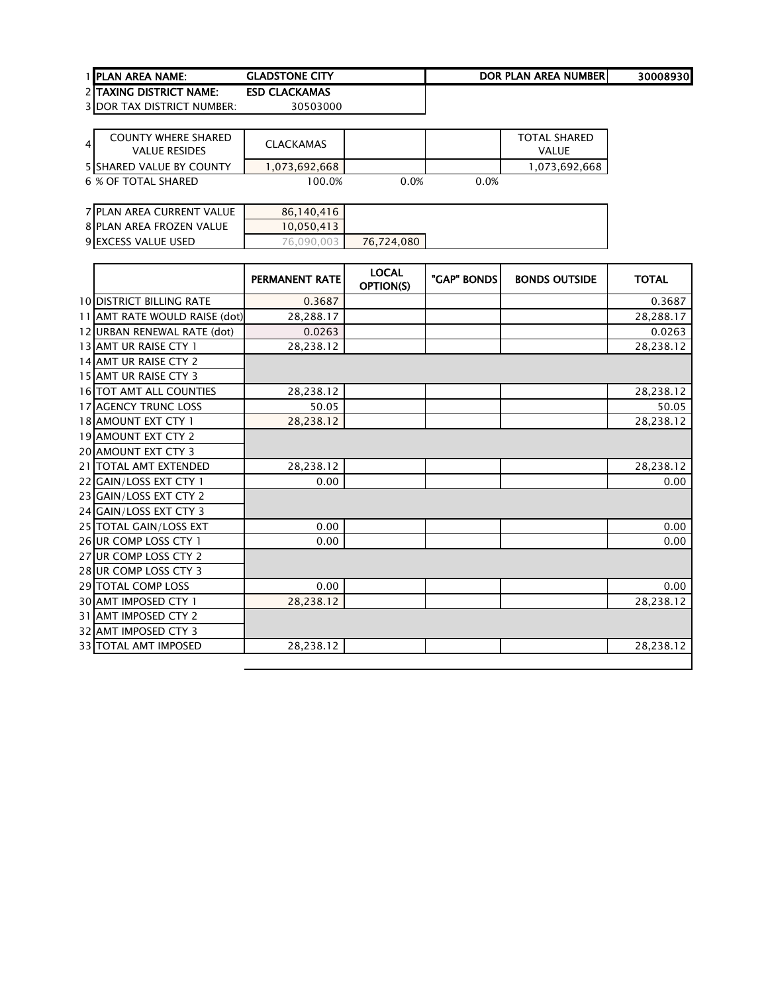| 1 IPLAN AREA NAME:                        | <b>GLADSTONE CITY</b>            | DOR PLAN AREA NUMBER | 30008930 |
|-------------------------------------------|----------------------------------|----------------------|----------|
| <b>2 ITAXING DISTRICT NAME:</b>           | <b>ESD CLACKAMAS</b>             |                      |          |
| $20000$ T <sub>AV</sub> DICTRICT ULUARED. | $\begin{array}{c} \n\end{array}$ |                      |          |

| $\overline{4}$ | <b>COUNTY WHERE SHARED</b><br>VALUE RESIDES | CLACKAMAS     |      |      | <b>TOTAL SHARED</b><br>VALUE |
|----------------|---------------------------------------------|---------------|------|------|------------------------------|
|                | <b>5 SHARED VALUE BY COUNTY</b>             | 1,073,692,668 |      |      | 1,073,692,668                |
|                | 6 % OF TOTAL SHARED                         | 100.0%        | 0.0% | 0.0% |                              |

| 7 PLAN AREA CURRENT VALUE | 86,140,416 |            |
|---------------------------|------------|------------|
| 8 PLAN AREA FROZEN VALUE  | 10,050,413 |            |
| 9 EXCESS VALUE USED       | 76.090.003 | 76,724,080 |

|                                 | <b>PERMANENT RATE</b> | <b>LOCAL</b><br>OPTION(S) | "GAP" BONDS | <b>BONDS OUTSIDE</b> | <b>TOTAL</b> |
|---------------------------------|-----------------------|---------------------------|-------------|----------------------|--------------|
| <b>10 DISTRICT BILLING RATE</b> | 0.3687                |                           |             |                      | 0.3687       |
| 11 AMT RATE WOULD RAISE (dot)   | 28,288.17             |                           |             |                      | 28,288.17    |
| 12 URBAN RENEWAL RATE (dot)     | 0.0263                |                           |             |                      | 0.0263       |
| 13 AMT UR RAISE CTY 1           | 28,238.12             |                           |             |                      | 28,238.12    |
| 14 AMT UR RAISE CTY 2           |                       |                           |             |                      |              |
| 15 AMT UR RAISE CTY 3           |                       |                           |             |                      |              |
| <b>16 TOT AMT ALL COUNTIES</b>  | 28,238.12             |                           |             |                      | 28,238.12    |
| <b>17 AGENCY TRUNC LOSS</b>     | 50.05                 |                           |             |                      | 50.05        |
| <b>18 AMOUNT EXT CTY 1</b>      | 28,238.12             |                           |             |                      | 28,238.12    |
| 19 AMOUNT EXT CTY 2             |                       |                           |             |                      |              |
| <b>20 AMOUNT EXT CTY 3</b>      |                       |                           |             |                      |              |
| 21   TOTAL AMT EXTENDED         | 28,238.12             |                           |             |                      | 28,238.12    |
| 22 GAIN/LOSS EXT CTY 1          | 0.00                  |                           |             |                      | 0.00         |
| 23 GAIN/LOSS EXT CTY 2          |                       |                           |             |                      |              |
| 24 GAIN/LOSS EXT CTY 3          |                       |                           |             |                      |              |
| 25 TOTAL GAIN/LOSS EXT          | 0.00                  |                           |             |                      | 0.00         |
| 26 UR COMP LOSS CTY 1           | 0.00                  |                           |             |                      | 0.00         |
| 27 UR COMP LOSS CTY 2           |                       |                           |             |                      |              |
| 28 UR COMP LOSS CTY 3           |                       |                           |             |                      |              |
| 29 TOTAL COMP LOSS              | 0.00                  |                           |             |                      | 0.00         |
| <b>30 AMT IMPOSED CTY 1</b>     | 28,238.12             |                           |             |                      | 28,238.12    |
| 31 AMT IMPOSED CTY 2            |                       |                           |             |                      |              |
| 32 AMT IMPOSED CTY 3            |                       |                           |             |                      |              |
| 33 TOTAL AMT IMPOSED            | 28,238.12             |                           |             |                      | 28,238.12    |
|                                 |                       |                           |             |                      |              |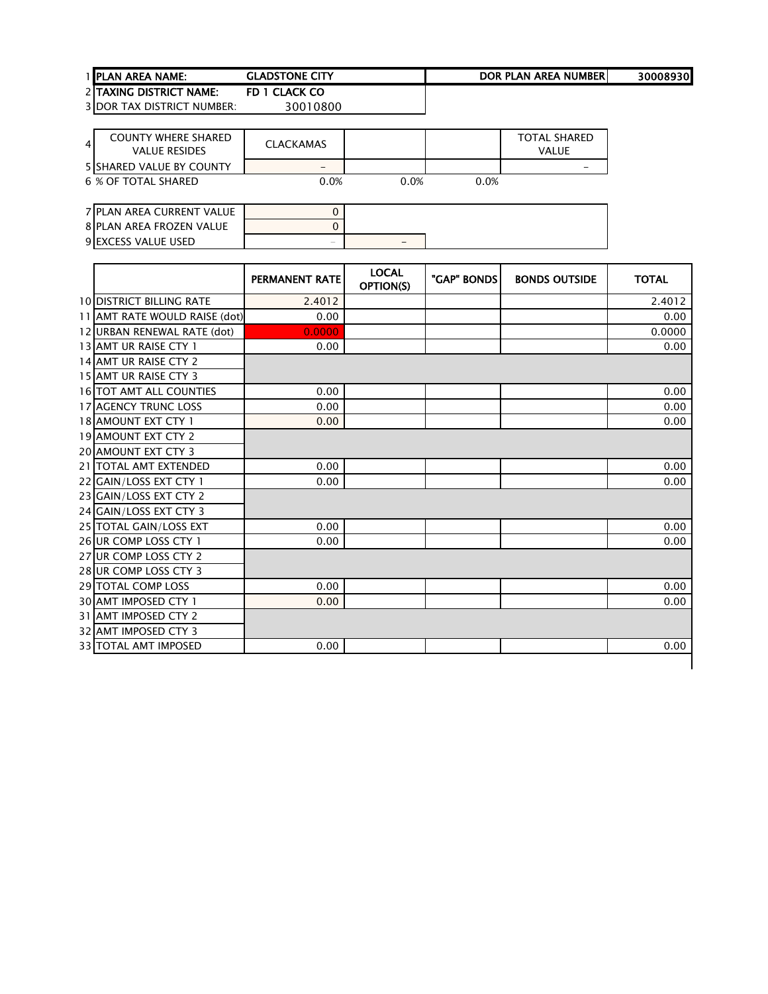## 1 PLAN AREA NAME: GLADSTONE CITY<br>2 TAXING DISTRICT NAME: FD 1 CLACK CO DOR PLAN AREA NUMBER

2 TAXING DISTRICT NAME: FD 1 CLACK CO<br>3 DOR TAX DISTRICT NUMBER: 30010800 3 DOR TAX DISTRICT NUMBER:

4 COUNTY WHERE SHARED<br>VALUE RESIDES VALUE RESIDES CLACKAMAS TOTAL SHARED VALUE SHARED VALUE BY COUNTY - - **6 % OF TOTAL SHARED** 

| 7 PLAN AREA CURRENT VALUE       |                          |   |
|---------------------------------|--------------------------|---|
| <b>8 PLAN AREA FROZEN VALUE</b> |                          |   |
| <b>9IEXCESS VALUE USED</b>      | $\overline{\phantom{a}}$ | - |

|                                 | <b>PERMANENT RATE</b> | <b>LOCAL</b><br>OPTION(S) | "GAP" BONDS | <b>BONDS OUTSIDE</b> | <b>TOTAL</b> |
|---------------------------------|-----------------------|---------------------------|-------------|----------------------|--------------|
| <b>10 DISTRICT BILLING RATE</b> | 2.4012                |                           |             |                      | 2.4012       |
| 11 AMT RATE WOULD RAISE (dot)   | 0.00                  |                           |             |                      | 0.00         |
| 12 URBAN RENEWAL RATE (dot)     | 0.0000                |                           |             |                      | 0.0000       |
| 13 AMT UR RAISE CTY 1           | 0.00                  |                           |             |                      | 0.00         |
| 14 AMT UR RAISE CTY 2           |                       |                           |             |                      |              |
| 15 AMT UR RAISE CTY 3           |                       |                           |             |                      |              |
| <b>16 TOT AMT ALL COUNTIES</b>  | 0.00                  |                           |             |                      | 0.00         |
| <b>17 AGENCY TRUNC LOSS</b>     | 0.00                  |                           |             |                      | 0.00         |
| <b>18 AMOUNT EXT CTY 1</b>      | 0.00                  |                           |             |                      | 0.00         |
| <b>19 AMOUNT EXT CTY 2</b>      |                       |                           |             |                      |              |
| <b>20 AMOUNT EXT CTY 3</b>      |                       |                           |             |                      |              |
| 21 TOTAL AMT EXTENDED           | 0.00                  |                           |             |                      | 0.00         |
| 22 GAIN/LOSS EXT CTY 1          | 0.00                  |                           |             |                      | 0.00         |
| 23 GAIN/LOSS EXT CTY 2          |                       |                           |             |                      |              |
| 24 GAIN/LOSS EXT CTY 3          |                       |                           |             |                      |              |
| 25 TOTAL GAIN/LOSS EXT          | 0.00                  |                           |             |                      | 0.00         |
| 26 UR COMP LOSS CTY 1           | 0.00                  |                           |             |                      | 0.00         |
| 27 UR COMP LOSS CTY 2           |                       |                           |             |                      |              |
| 28 UR COMP LOSS CTY 3           |                       |                           |             |                      |              |
| 29 TOTAL COMP LOSS              | 0.00                  |                           |             |                      | 0.00         |
| <b>30 AMT IMPOSED CTY 1</b>     | 0.00                  |                           |             |                      | 0.00         |
| 31 JAMT IMPOSED CTY 2           |                       |                           |             |                      |              |
| <b>32 AMT IMPOSED CTY 3</b>     |                       |                           |             |                      |              |
| <b>33 TOTAL AMT IMPOSED</b>     | 0.00                  |                           |             |                      | 0.00         |
|                                 |                       |                           |             |                      |              |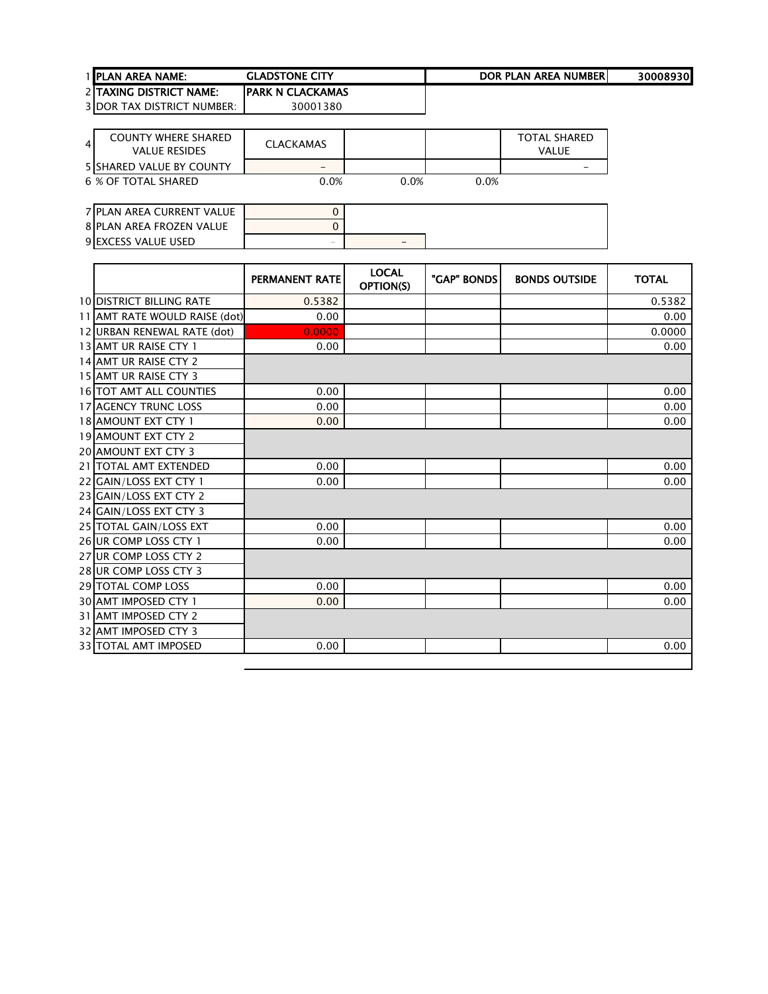| <b>I IPLAN AREA NAME:</b>       | <b>GLADSTONE CITY</b>    | DOR PLAN AREA NUMBERI | 30008930 |
|---------------------------------|--------------------------|-----------------------|----------|
| <b>2 ITAXING DISTRICT NAME:</b> | <b>IPARK N CLACKAMAS</b> |                       |          |

| 4 | <b>COUNTY WHERE SHARED</b><br><b>VALUE RESIDES</b> | <b>CLACKAMAS</b> |      |      | TOTAL SHARED<br>VAI UF |
|---|----------------------------------------------------|------------------|------|------|------------------------|
|   | <b>5 SHARED VALUE BY COUNTY</b>                    | -                |      |      |                        |
|   | 6 % OF TOTAL SHARED                                | $0.0\%$          | 0.0% | 0.0% |                        |

| 7 PLAN AREA CURRENT VALUE  |                          |   |
|----------------------------|--------------------------|---|
| 8 PLAN AREA FROZEN VALUE   |                          |   |
| <b>9 EXCESS VALUE USED</b> | $\overline{\phantom{a}}$ | - |

|                                 | <b>PERMANENT RATE</b> | <b>LOCAL</b><br>OPTION(S) | "GAP" BONDS | <b>BONDS OUTSIDE</b> | <b>TOTAL</b> |
|---------------------------------|-----------------------|---------------------------|-------------|----------------------|--------------|
| <b>10 DISTRICT BILLING RATE</b> | 0.5382                |                           |             |                      | 0.5382       |
| 11 AMT RATE WOULD RAISE (dot)   | 0.00                  |                           |             |                      | 0.00         |
| 12 URBAN RENEWAL RATE (dot)     | 0.0000                |                           |             |                      | 0.0000       |
| 13 AMT UR RAISE CTY 1           | 0.00                  |                           |             |                      | 0.00         |
| 14 AMT UR RAISE CTY 2           |                       |                           |             |                      |              |
| 15 AMT UR RAISE CTY 3           |                       |                           |             |                      |              |
| <b>16 TOT AMT ALL COUNTIES</b>  | 0.00                  |                           |             |                      | 0.00         |
| <b>17 AGENCY TRUNC LOSS</b>     | 0.00                  |                           |             |                      | 0.00         |
| 18 AMOUNT EXT CTY 1             | 0.00                  |                           |             |                      | 0.00         |
| 19 AMOUNT EXT CTY 2             |                       |                           |             |                      |              |
| <b>20 AMOUNT EXT CTY 3</b>      |                       |                           |             |                      |              |
| 21   TOTAL AMT EXTENDED         | 0.00                  |                           |             |                      | 0.00         |
| 22 GAIN/LOSS EXT CTY 1          | 0.00                  |                           |             |                      | 0.00         |
| 23 GAIN/LOSS EXT CTY 2          |                       |                           |             |                      |              |
| 24 GAIN/LOSS EXT CTY 3          |                       |                           |             |                      |              |
| 25 TOTAL GAIN/LOSS EXT          | 0.00                  |                           |             |                      | 0.00         |
| 26 UR COMP LOSS CTY 1           | 0.00                  |                           |             |                      | 0.00         |
| 27 UR COMP LOSS CTY 2           |                       |                           |             |                      |              |
| 28 UR COMP LOSS CTY 3           |                       |                           |             |                      |              |
| 29 TOTAL COMP LOSS              | 0.00                  |                           |             |                      | 0.00         |
| <b>30 AMT IMPOSED CTY 1</b>     | 0.00                  |                           |             |                      | 0.00         |
| 31 AMT IMPOSED CTY 2            |                       |                           |             |                      |              |
| 32 AMT IMPOSED CTY 3            |                       |                           |             |                      |              |
| 33 TOTAL AMT IMPOSED            | 0.00                  |                           |             |                      | 0.00         |
|                                 |                       |                           |             |                      |              |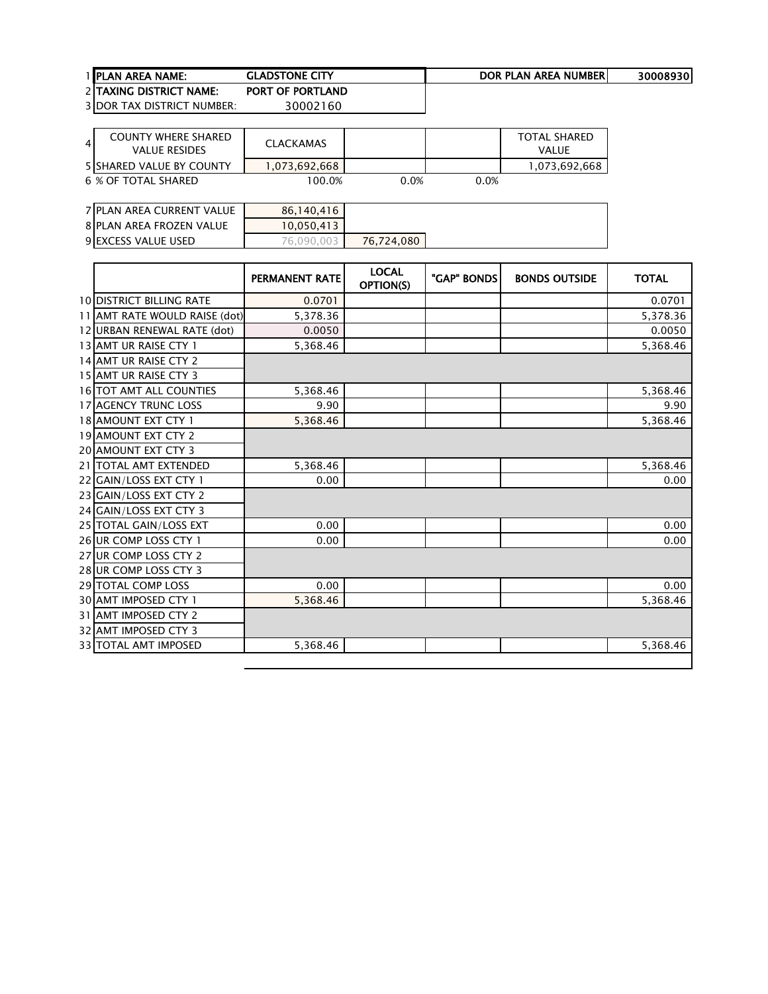| <b>1 IPLAN AREA NAME:</b>         | <b>GLADSTONE CITY</b>   | DOR PLAN AREA NUMBERI | 30008930 |
|-----------------------------------|-------------------------|-----------------------|----------|
| 2 ITAXING DISTRICT NAME:          | <b>PORT OF PORTLAND</b> |                       |          |
| <b>3 DOR TAX DISTRICT NUMBER:</b> | 30002160                |                       |          |

| 4 | <b>COUNTY WHERE SHARED</b><br><b>VALUE RESIDES</b> | <b>CLACKAMAS</b> |      |      | TOTAL SHARED<br><b>VALUE</b> |
|---|----------------------------------------------------|------------------|------|------|------------------------------|
|   | <b>5 SHARED VALUE BY COUNTY</b>                    | 1,073,692,668    |      |      | 1,073,692,668                |
|   | 6 % OF TOTAL SHARED                                | 100.0%           | 0.0% | 0.0% |                              |

| 7 PLAN AREA CURRENT VALUE | 86,140,416   |            |
|---------------------------|--------------|------------|
| 8 PLAN AREA FROZEN VALUE  | 10,050,413   |            |
| 9 EXCESS VALUE USED       | 76.090.003 L | 76.724.080 |

|                                 | <b>PERMANENT RATE</b> | <b>LOCAL</b><br><b>OPTION(S)</b> | "GAP" BONDS | <b>BONDS OUTSIDE</b> | <b>TOTAL</b> |
|---------------------------------|-----------------------|----------------------------------|-------------|----------------------|--------------|
| <b>10 DISTRICT BILLING RATE</b> | 0.0701                |                                  |             |                      | 0.0701       |
| 11 AMT RATE WOULD RAISE (dot)   | 5,378.36              |                                  |             |                      | 5,378.36     |
| 12 URBAN RENEWAL RATE (dot)     | 0.0050                |                                  |             |                      | 0.0050       |
| 13 AMT UR RAISE CTY 1           | 5,368.46              |                                  |             |                      | 5,368.46     |
| 14 AMT UR RAISE CTY 2           |                       |                                  |             |                      |              |
| 15 AMT UR RAISE CTY 3           |                       |                                  |             |                      |              |
| <b>16 TOT AMT ALL COUNTIES</b>  | 5,368.46              |                                  |             |                      | 5,368.46     |
| <b>17 AGENCY TRUNC LOSS</b>     | 9.90                  |                                  |             |                      | 9.90         |
| <b>18 AMOUNT EXT CTY 1</b>      | 5,368.46              |                                  |             |                      | 5,368.46     |
| 19 AMOUNT EXT CTY 2             |                       |                                  |             |                      |              |
| <b>20 AMOUNT EXT CTY 3</b>      |                       |                                  |             |                      |              |
| 21   TOTAL AMT EXTENDED         | 5,368.46              |                                  |             |                      | 5,368.46     |
| 22 GAIN/LOSS EXT CTY 1          | 0.00                  |                                  |             |                      | 0.00         |
| 23 GAIN/LOSS EXT CTY 2          |                       |                                  |             |                      |              |
| 24 GAIN/LOSS EXT CTY 3          |                       |                                  |             |                      |              |
| 25 TOTAL GAIN/LOSS EXT          | 0.00                  |                                  |             |                      | 0.00         |
| 26 UR COMP LOSS CTY 1           | 0.00                  |                                  |             |                      | 0.00         |
| 27 UR COMP LOSS CTY 2           |                       |                                  |             |                      |              |
| 28 UR COMP LOSS CTY 3           |                       |                                  |             |                      |              |
| 29 TOTAL COMP LOSS              | 0.00                  |                                  |             |                      | 0.00         |
| <b>30 AMT IMPOSED CTY 1</b>     | 5,368.46              |                                  |             |                      | 5,368.46     |
| 31 AMT IMPOSED CTY 2            |                       |                                  |             |                      |              |
| 32 AMT IMPOSED CTY 3            |                       |                                  |             |                      |              |
| 33 TOTAL AMT IMPOSED            | 5,368.46              |                                  |             |                      | 5,368.46     |
|                                 |                       |                                  |             |                      |              |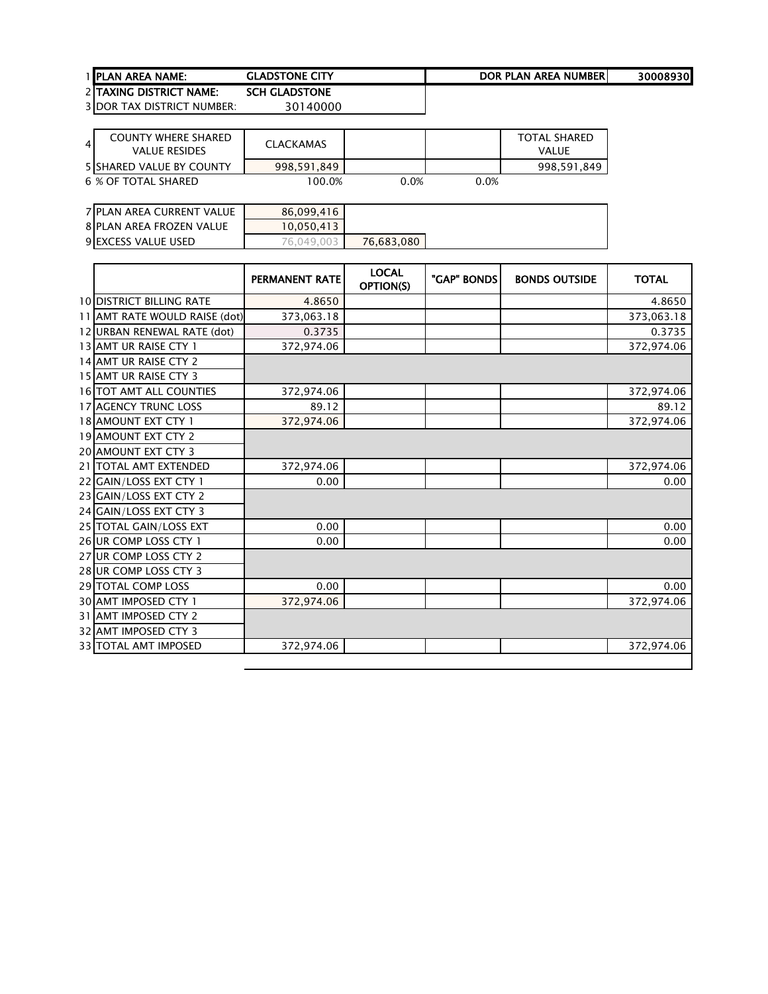| 1 IPLAN AREA NAME:              | <b>GLADSTONE CITY</b> | DOR PLAN AREA NUMBERI | 30008930 |
|---------------------------------|-----------------------|-----------------------|----------|
| <b>2 ITAXING DISTRICT NAME:</b> | <b>SCH GLADSTONE</b>  |                       |          |

| $\overline{4}$ | <b>COUNTY WHERE SHARED</b><br>VALUE RESIDES | CLACKAMAS   |         |      | <b>TOTAL SHARED</b><br><b>VALUE</b> |
|----------------|---------------------------------------------|-------------|---------|------|-------------------------------------|
|                | <b>5 SHARED VALUE BY COUNTY</b>             | 998.591.849 |         |      | 998, 591, 849                       |
|                | 6 % OF TOTAL SHARED                         | 100.0%      | $0.0\%$ | 0.0% |                                     |

| 7 PLAN AREA CURRENT VALUE | 86,099,416 |            |
|---------------------------|------------|------------|
| 8 PLAN AREA FROZEN VALUE  | 10,050,413 |            |
| 9 EXCESS VALUE USED       | 76,049,003 | 76.683.080 |

|                                 | PERMANENT RATE | <b>LOCAL</b><br>OPTION(S) | "GAP" BONDS | <b>BONDS OUTSIDE</b> | <b>TOTAL</b> |
|---------------------------------|----------------|---------------------------|-------------|----------------------|--------------|
| <b>10 DISTRICT BILLING RATE</b> | 4.8650         |                           |             |                      | 4.8650       |
| 11 AMT RATE WOULD RAISE (dot)   | 373,063.18     |                           |             |                      | 373,063.18   |
| 12 URBAN RENEWAL RATE (dot)     | 0.3735         |                           |             |                      | 0.3735       |
| 13 AMT UR RAISE CTY 1           | 372,974.06     |                           |             |                      | 372,974.06   |
| 14 AMT UR RAISE CTY 2           |                |                           |             |                      |              |
| 15 AMT UR RAISE CTY 3           |                |                           |             |                      |              |
| 16 TOT AMT ALL COUNTIES         | 372,974.06     |                           |             |                      | 372,974.06   |
| <b>17 AGENCY TRUNC LOSS</b>     | 89.12          |                           |             |                      | 89.12        |
| 18 AMOUNT EXT CTY 1             | 372,974.06     |                           |             |                      | 372,974.06   |
| <b>19 AMOUNT EXT CTY 2</b>      |                |                           |             |                      |              |
| 20 AMOUNT EXT CTY 3             |                |                           |             |                      |              |
| 21   TOTAL AMT EXTENDED         | 372,974.06     |                           |             |                      | 372,974.06   |
| 22 GAIN/LOSS EXT CTY 1          | 0.00           |                           |             |                      | 0.00         |
| 23 GAIN/LOSS EXT CTY 2          |                |                           |             |                      |              |
| 24 GAIN/LOSS EXT CTY 3          |                |                           |             |                      |              |
| 25 TOTAL GAIN/LOSS EXT          | 0.00           |                           |             |                      | 0.00         |
| 26 UR COMP LOSS CTY 1           | 0.00           |                           |             |                      | 0.00         |
| 27 UR COMP LOSS CTY 2           |                |                           |             |                      |              |
| 28 UR COMP LOSS CTY 3           |                |                           |             |                      |              |
| 29 TOTAL COMP LOSS              | 0.00           |                           |             |                      | 0.00         |
| <b>30 AMT IMPOSED CTY 1</b>     | 372,974.06     |                           |             |                      | 372,974.06   |
| 31 AMT IMPOSED CTY 2            |                |                           |             |                      |              |
| <b>32 AMT IMPOSED CTY 3</b>     |                |                           |             |                      |              |
| 33 TOTAL AMT IMPOSED            | 372,974.06     |                           |             |                      | 372,974.06   |
|                                 |                |                           |             |                      |              |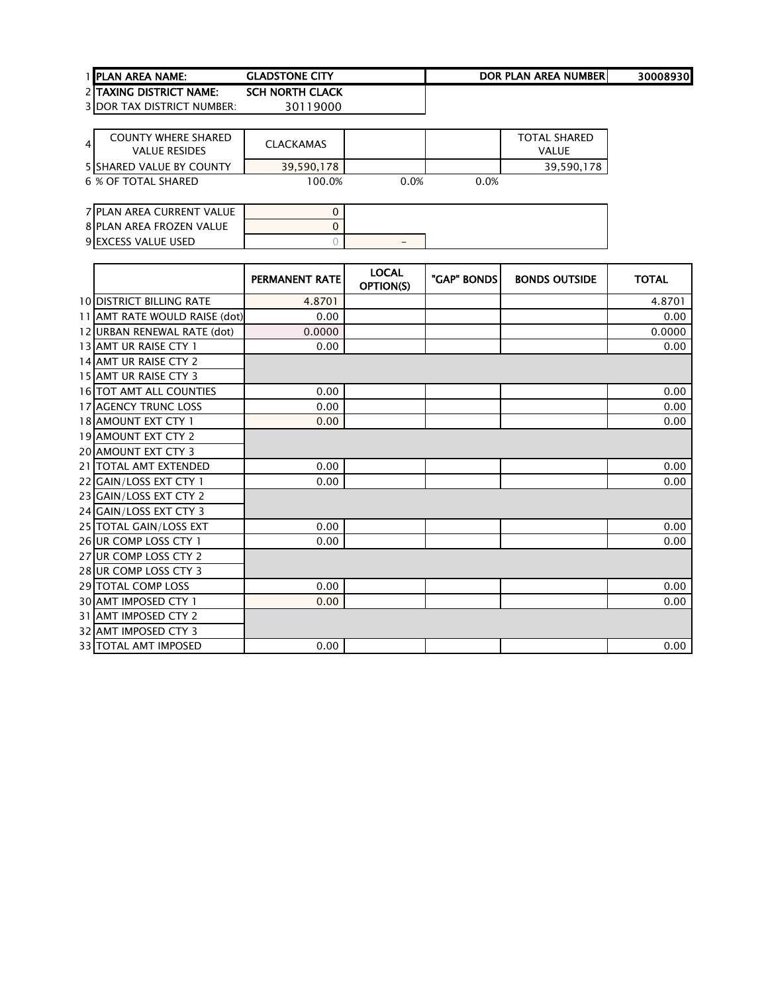| <b>1 IPLAN AREA NAME:</b>       | <b>GLADSTONE CITY</b>  | DOR PLAN AREA NUMBERI | 30008930 |
|---------------------------------|------------------------|-----------------------|----------|
| <b>2 ITAXING DISTRICT NAME:</b> | <b>SCH NORTH CLACK</b> |                       |          |

| $\overline{4}$ | <b>COUNTY WHERE SHARED</b><br><b>VALUE RESIDES</b> | CLACKAMAS  |      |      | <b>TOTAL SHARED</b><br>VALUE |
|----------------|----------------------------------------------------|------------|------|------|------------------------------|
|                | 5 SHARED VALUE BY COUNTY                           | 39.590.178 |      |      | 39,590,178                   |
|                | 6 % OF TOTAL SHARED                                | 100.0%     | 0.0% | 0.0% |                              |

| 7 PLAN AREA CURRENT VALUE  |   |
|----------------------------|---|
| 8 PLAN AREA FROZEN VALUE   |   |
| <b>9 EXCESS VALUE USED</b> | - |

|                                 | <b>PERMANENT RATE</b> | <b>LOCAL</b><br>OPTION(S) | "GAP" BONDS | <b>BONDS OUTSIDE</b> | <b>TOTAL</b> |
|---------------------------------|-----------------------|---------------------------|-------------|----------------------|--------------|
| <b>10 DISTRICT BILLING RATE</b> | 4.8701                |                           |             |                      | 4.8701       |
| 11 AMT RATE WOULD RAISE (dot)   | 0.00                  |                           |             |                      | 0.00         |
| 12 URBAN RENEWAL RATE (dot)     | 0.0000                |                           |             |                      | 0.0000       |
| 13 AMT UR RAISE CTY 1           | 0.00                  |                           |             |                      | 0.00         |
| 14 AMT UR RAISE CTY 2           |                       |                           |             |                      |              |
| 15 AMT UR RAISE CTY 3           |                       |                           |             |                      |              |
| <b>16 TOT AMT ALL COUNTIES</b>  | 0.00                  |                           |             |                      | 0.00         |
| 17 AGENCY TRUNC LOSS            | 0.00                  |                           |             |                      | 0.00         |
| 18 AMOUNT EXT CTY 1             | 0.00                  |                           |             |                      | 0.00         |
| <b>19 AMOUNT EXT CTY 2</b>      |                       |                           |             |                      |              |
| <b>20 AMOUNT EXT CTY 3</b>      |                       |                           |             |                      |              |
| 21 TOTAL AMT EXTENDED           | 0.00                  |                           |             |                      | 0.00         |
| 22 GAIN/LOSS EXT CTY 1          | 0.00                  |                           |             |                      | 0.00         |
| 23 GAIN/LOSS EXT CTY 2          |                       |                           |             |                      |              |
| 24 GAIN/LOSS EXT CTY 3          |                       |                           |             |                      |              |
| 25 TOTAL GAIN/LOSS EXT          | 0.00                  |                           |             |                      | 0.00         |
| 26 UR COMP LOSS CTY 1           | 0.00                  |                           |             |                      | 0.00         |
| 27 UR COMP LOSS CTY 2           |                       |                           |             |                      |              |
| 28 UR COMP LOSS CTY 3           |                       |                           |             |                      |              |
| 29 TOTAL COMP LOSS              | 0.00                  |                           |             |                      | 0.00         |
| <b>30 AMT IMPOSED CTY 1</b>     | 0.00                  |                           |             |                      | 0.00         |
| 31 AMT IMPOSED CTY 2            |                       |                           |             |                      |              |
| 32 AMT IMPOSED CTY 3            |                       |                           |             |                      |              |
| 33 TOTAL AMT IMPOSED            | 0.00                  |                           |             |                      | 0.00         |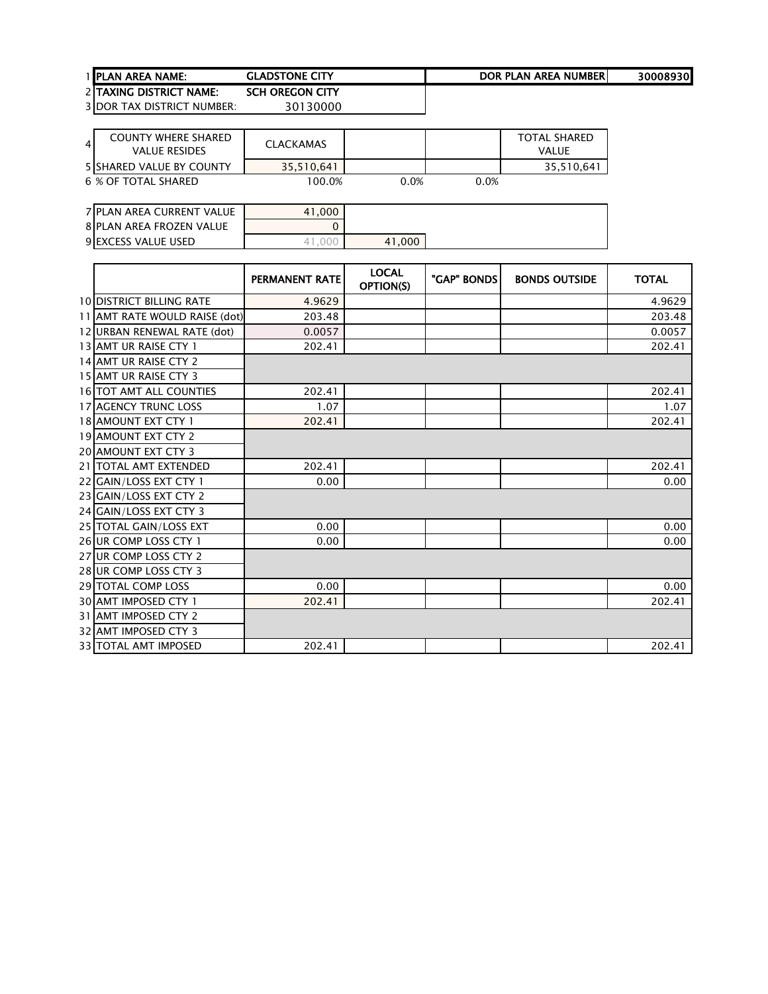| <b>1 IPLAN AREA NAME:</b>       | <b>GLADSTONE CITY</b>  | DOR PLAN AREA NUMBERI | 30008930 |
|---------------------------------|------------------------|-----------------------|----------|
| <b>2 ITAXING DISTRICT NAME:</b> | <b>SCH OREGON CITY</b> |                       |          |

| 4 | <b>COUNTY WHERE SHARED</b><br>VALUE RESIDES | CLACKAMAS  |         |      | TOTAL SHARED<br>VALUE |
|---|---------------------------------------------|------------|---------|------|-----------------------|
|   | 5 SHARED VALUE BY COUNTY                    | 35.510.641 |         |      | 35,510,64             |
|   | 6 % OF TOTAL SHARED                         | 100.0%     | $0.0\%$ | 0.0% |                       |

| 7 PLAN AREA CURRENT VALUE | 41.000 |        |
|---------------------------|--------|--------|
| 8 PLAN AREA FROZEN VALUE  |        |        |
| 9 EXCESS VALUE USED       |        | 41.000 |

|                                 | <b>PERMANENT RATE</b> | <b>LOCAL</b><br>OPTION(S) | "GAP" BONDS | <b>BONDS OUTSIDE</b> | <b>TOTAL</b> |
|---------------------------------|-----------------------|---------------------------|-------------|----------------------|--------------|
| <b>10 DISTRICT BILLING RATE</b> | 4.9629                |                           |             |                      | 4.9629       |
| 11 AMT RATE WOULD RAISE (dot)   | 203.48                |                           |             |                      | 203.48       |
| 12 URBAN RENEWAL RATE (dot)     | 0.0057                |                           |             |                      | 0.0057       |
| 13 AMT UR RAISE CTY 1           | 202.41                |                           |             |                      | 202.41       |
| 14 AMT UR RAISE CTY 2           |                       |                           |             |                      |              |
| 15 AMT UR RAISE CTY 3           |                       |                           |             |                      |              |
| <b>16 TOT AMT ALL COUNTIES</b>  | 202.41                |                           |             |                      | 202.41       |
| <b>17 AGENCY TRUNC LOSS</b>     | 1.07                  |                           |             |                      | 1.07         |
| <b>18 AMOUNT EXT CTY 1</b>      | 202.41                |                           |             |                      | 202.41       |
| 19 AMOUNT EXT CTY 2             |                       |                           |             |                      |              |
| 20 AMOUNT EXT CTY 3             |                       |                           |             |                      |              |
| 21 TOTAL AMT EXTENDED           | 202.41                |                           |             |                      | 202.41       |
| 22 GAIN/LOSS EXT CTY 1          | 0.00                  |                           |             |                      | 0.00         |
| 23 GAIN/LOSS EXT CTY 2          |                       |                           |             |                      |              |
| 24 GAIN/LOSS EXT CTY 3          |                       |                           |             |                      |              |
| 25 TOTAL GAIN/LOSS EXT          | 0.00                  |                           |             |                      | 0.00         |
| 26 UR COMP LOSS CTY 1           | 0.00                  |                           |             |                      | 0.00         |
| 27 UR COMP LOSS CTY 2           |                       |                           |             |                      |              |
| 28 UR COMP LOSS CTY 3           |                       |                           |             |                      |              |
| <b>29 TOTAL COMP LOSS</b>       | 0.00                  |                           |             |                      | 0.00         |
| 30 AMT IMPOSED CTY 1            | 202.41                |                           |             |                      | 202.41       |
| 31 AMT IMPOSED CTY 2            |                       |                           |             |                      |              |
| 32 AMT IMPOSED CTY 3            |                       |                           |             |                      |              |
| <b>33 TOTAL AMT IMPOSED</b>     | 202.41                |                           |             |                      | 202.41       |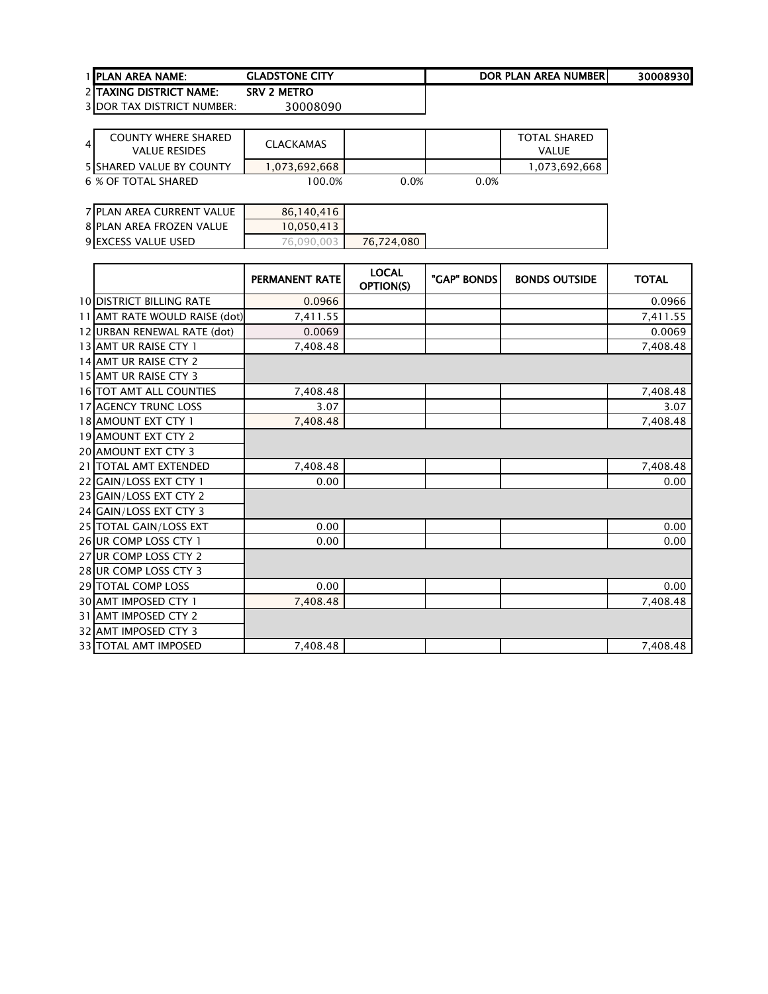| <b>1 IPLAN AREA NAME:</b>       | <b>GLADSTONE CITY</b> | DOR PLAN AREA NUMBERI | 30008930 |
|---------------------------------|-----------------------|-----------------------|----------|
| <b>2 ITAXING DISTRICT NAME:</b> | <b>SRV 2 METRO</b>    |                       |          |

| $\overline{4}$ | <b>COUNTY WHERE SHARED</b><br>VALUE RESIDES | CLACKAMAS     |      |      | <b>TOTAL SHARED</b><br>VALUE |
|----------------|---------------------------------------------|---------------|------|------|------------------------------|
|                | <b>5 SHARED VALUE BY COUNTY</b>             | 1,073,692,668 |      |      | 1,073,692,668                |
|                | 6 % OF TOTAL SHARED                         | 100.0%        | 0.0% | 0.0% |                              |

| 7 PLAN AREA CURRENT VALUE  | 86,140,416 |            |
|----------------------------|------------|------------|
| 8 PLAN AREA FROZEN VALUE   | 10,050,413 |            |
| <b>9 EXCESS VALUE USED</b> | 76,090,003 | 76.724.080 |

|                                 | PERMANENT RATE | <b>LOCAL</b><br><b>OPTION(S)</b> | "GAP" BONDS | <b>BONDS OUTSIDE</b> | <b>TOTAL</b> |
|---------------------------------|----------------|----------------------------------|-------------|----------------------|--------------|
| <b>10 DISTRICT BILLING RATE</b> | 0.0966         |                                  |             |                      | 0.0966       |
| 11 AMT RATE WOULD RAISE (dot)   | 7,411.55       |                                  |             |                      | 7,411.55     |
| 12 URBAN RENEWAL RATE (dot)     | 0.0069         |                                  |             |                      | 0.0069       |
| 13 AMT UR RAISE CTY 1           | 7,408.48       |                                  |             |                      | 7,408.48     |
| 14 AMT UR RAISE CTY 2           |                |                                  |             |                      |              |
| 15 AMT UR RAISE CTY 3           |                |                                  |             |                      |              |
| <b>16 TOT AMT ALL COUNTIES</b>  | 7,408.48       |                                  |             |                      | 7,408.48     |
| <b>17 AGENCY TRUNC LOSS</b>     | 3.07           |                                  |             |                      | 3.07         |
| <b>18 AMOUNT EXT CTY 1</b>      | 7,408.48       |                                  |             |                      | 7,408.48     |
| 19 AMOUNT EXT CTY 2             |                |                                  |             |                      |              |
| 20 AMOUNT EXT CTY 3             |                |                                  |             |                      |              |
| 21   TOTAL AMT EXTENDED         | 7,408.48       |                                  |             |                      | 7,408.48     |
| 22 GAIN/LOSS EXT CTY 1          | 0.00           |                                  |             |                      | 0.00         |
| 23 GAIN/LOSS EXT CTY 2          |                |                                  |             |                      |              |
| 24 GAIN/LOSS EXT CTY 3          |                |                                  |             |                      |              |
| 25 TOTAL GAIN/LOSS EXT          | 0.00           |                                  |             |                      | 0.00         |
| 26 UR COMP LOSS CTY 1           | 0.00           |                                  |             |                      | 0.00         |
| 27 UR COMP LOSS CTY 2           |                |                                  |             |                      |              |
| 28 UR COMP LOSS CTY 3           |                |                                  |             |                      |              |
| 29 TOTAL COMP LOSS              | 0.00           |                                  |             |                      | 0.00         |
| 30 AMT IMPOSED CTY 1            | 7,408.48       |                                  |             |                      | 7,408.48     |
| 31 AMT IMPOSED CTY 2            |                |                                  |             |                      |              |
| 32 AMT IMPOSED CTY 3            |                |                                  |             |                      |              |
| 33 TOTAL AMT IMPOSED            | 7,408.48       |                                  |             |                      | 7,408.48     |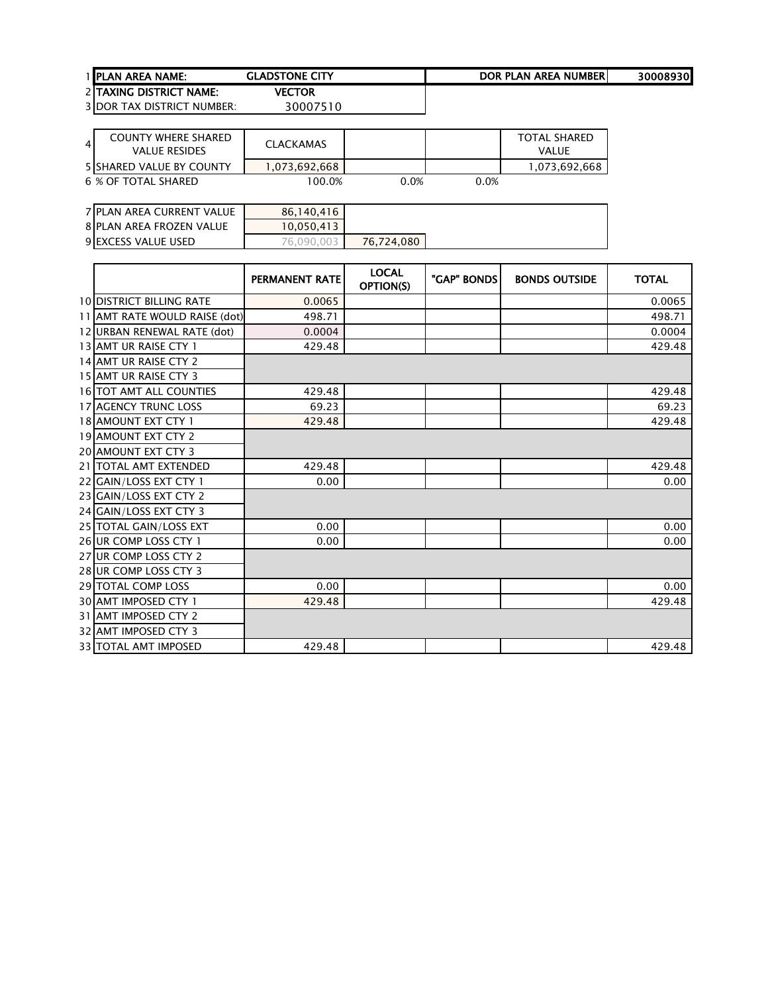| <b>1 IPLAN AREA NAME:</b>      | <b>GLADSTONE CITY</b> | DOR PLAN AREA NUMBERI | 30008930 |
|--------------------------------|-----------------------|-----------------------|----------|
| 2 ITAXING DISTRICT NAME:       | VECTOR                |                       |          |
| $2$ IDOD TAV DICTDICT NIHMDED. | 20007510              |                       |          |

| COUNTY WHERE SHARED<br>$\overline{4}$<br><b>VALUE RESIDES</b> | <b>CLACKAMAS</b> |      |      | <b>TOTAL SHARED</b><br>VALUE |
|---------------------------------------------------------------|------------------|------|------|------------------------------|
| <b>5 SHARED VALUE BY COUNTY</b>                               | ا 073,692,668. [ |      |      | 1,073,692,668                |
| 6 % OF TOTAL SHARED                                           | 100.0%           | 0.0% | 0.0% |                              |

| 7 PLAN AREA CURRENT VALUE | 86,140,416 |            |
|---------------------------|------------|------------|
| 8 PLAN AREA FROZEN VALUE  | 10,050,413 |            |
| 9 EXCESS VALUE USED       | 76.090.003 | 76.724.080 |

|                                 | PERMANENT RATE | <b>LOCAL</b><br>OPTION(S) | "GAP" BONDS | <b>BONDS OUTSIDE</b> | <b>TOTAL</b> |
|---------------------------------|----------------|---------------------------|-------------|----------------------|--------------|
| <b>10 DISTRICT BILLING RATE</b> | 0.0065         |                           |             |                      | 0.0065       |
| 11 AMT RATE WOULD RAISE (dot)   | 498.71         |                           |             |                      | 498.71       |
| 12 URBAN RENEWAL RATE (dot)     | 0.0004         |                           |             |                      | 0.0004       |
| 13 AMT UR RAISE CTY 1           | 429.48         |                           |             |                      | 429.48       |
| 14 AMT UR RAISE CTY 2           |                |                           |             |                      |              |
| 15 AMT UR RAISE CTY 3           |                |                           |             |                      |              |
| <b>16 TOT AMT ALL COUNTIES</b>  | 429.48         |                           |             |                      | 429.48       |
| <b>17 AGENCY TRUNC LOSS</b>     | 69.23          |                           |             |                      | 69.23        |
| 18 AMOUNT EXT CTY 1             | 429.48         |                           |             |                      | 429.48       |
| 19 AMOUNT EXT CTY 2             |                |                           |             |                      |              |
| 20 AMOUNT EXT CTY 3             |                |                           |             |                      |              |
| 21 TOTAL AMT EXTENDED           | 429.48         |                           |             |                      | 429.48       |
| 22 GAIN/LOSS EXT CTY 1          | 0.00           |                           |             |                      | 0.00         |
| 23 GAIN/LOSS EXT CTY 2          |                |                           |             |                      |              |
| 24 GAIN/LOSS EXT CTY 3          |                |                           |             |                      |              |
| 25 TOTAL GAIN/LOSS EXT          | 0.00           |                           |             |                      | 0.00         |
| 26 UR COMP LOSS CTY 1           | 0.00           |                           |             |                      | 0.00         |
| 27 UR COMP LOSS CTY 2           |                |                           |             |                      |              |
| 28 UR COMP LOSS CTY 3           |                |                           |             |                      |              |
| 29 TOTAL COMP LOSS              | 0.00           |                           |             |                      | 0.00         |
| 30 AMT IMPOSED CTY 1            | 429.48         |                           |             |                      | 429.48       |
| 31 AMT IMPOSED CTY 2            |                |                           |             |                      |              |
| <b>32 AMT IMPOSED CTY 3</b>     |                |                           |             |                      |              |
| 33 TOTAL AMT IMPOSED            | 429.48         |                           |             |                      | 429.48       |